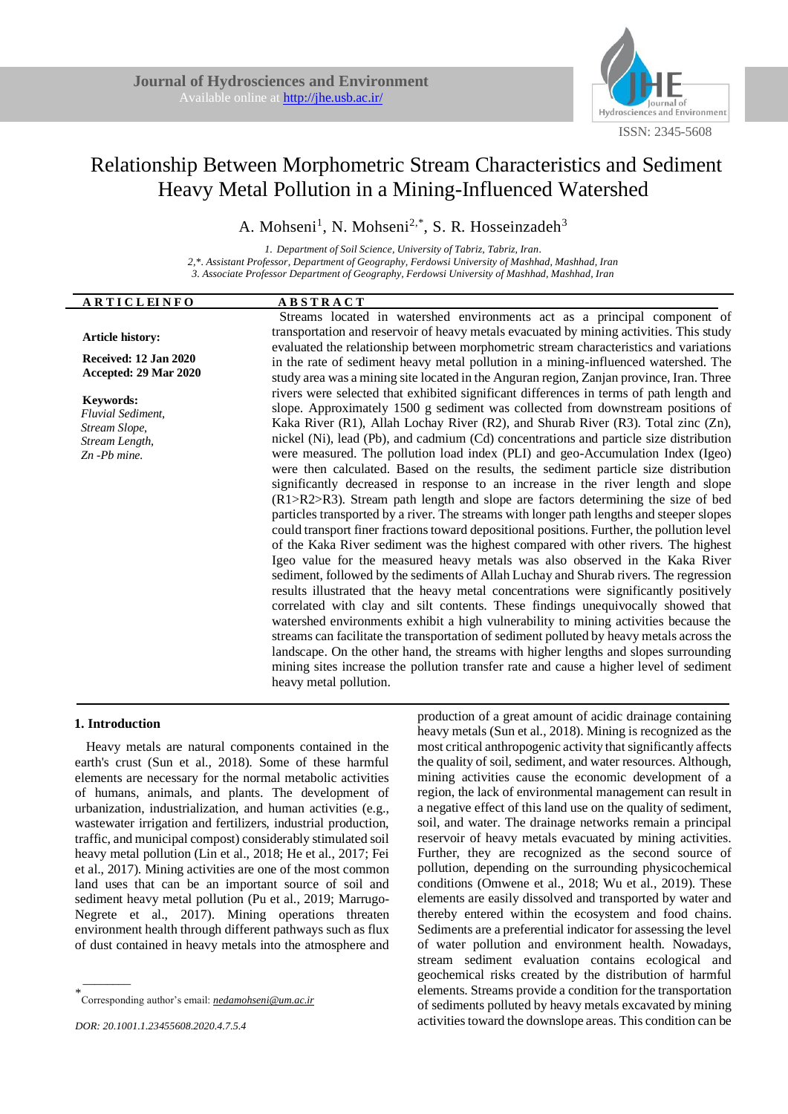

# Relationship Between Morphometric Stream Characteristics and Sediment Heavy Metal Pollution in a Mining-Influenced Watershed

A. Mohseni<sup>1</sup>, N. Mohseni<sup>2,\*</sup>, S. R. Hosseinzadeh<sup>3</sup>

*1. Department of Soil Science, University of Tabriz, Tabriz, Iran. 2,\*. Assistant Professor, Department of Geography, Ferdowsi University of Mashhad, Mashhad, Iran 3. Associate Professor Department of Geography, Ferdowsi University of Mashhad, Mashhad, Iran*

| <b>ARTICLEINFO</b>                                                                                   | <b>ABSTRACT</b>                                                                                                                                                                                                                                                                                                                                                                                                                                                                                                                                                                                                                                                                                                                                                                                                                                                                                                                                                                                                                                                                                                                                                                                                                                                                                                                                                                                                                                                                                                                                                                                                                                                                                                                                      |
|------------------------------------------------------------------------------------------------------|------------------------------------------------------------------------------------------------------------------------------------------------------------------------------------------------------------------------------------------------------------------------------------------------------------------------------------------------------------------------------------------------------------------------------------------------------------------------------------------------------------------------------------------------------------------------------------------------------------------------------------------------------------------------------------------------------------------------------------------------------------------------------------------------------------------------------------------------------------------------------------------------------------------------------------------------------------------------------------------------------------------------------------------------------------------------------------------------------------------------------------------------------------------------------------------------------------------------------------------------------------------------------------------------------------------------------------------------------------------------------------------------------------------------------------------------------------------------------------------------------------------------------------------------------------------------------------------------------------------------------------------------------------------------------------------------------------------------------------------------------|
| Article history:                                                                                     | Streams located in watershed environments act as a principal component of<br>transportation and reservoir of heavy metals evacuated by mining activities. This study                                                                                                                                                                                                                                                                                                                                                                                                                                                                                                                                                                                                                                                                                                                                                                                                                                                                                                                                                                                                                                                                                                                                                                                                                                                                                                                                                                                                                                                                                                                                                                                 |
| Received: 12 Jan 2020<br>Accepted: 29 Mar 2020                                                       | evaluated the relationship between morphometric stream characteristics and variations<br>in the rate of sediment heavy metal pollution in a mining-influenced watershed. The<br>study area was a mining site located in the Anguran region, Zanjan province, Iran. Three                                                                                                                                                                                                                                                                                                                                                                                                                                                                                                                                                                                                                                                                                                                                                                                                                                                                                                                                                                                                                                                                                                                                                                                                                                                                                                                                                                                                                                                                             |
| <b>Keywords:</b><br><b>Fluvial Sediment,</b><br>Stream Slope,<br>Stream Length,<br>$Zn$ - $Pb$ mine. | rivers were selected that exhibited significant differences in terms of path length and<br>slope. Approximately 1500 g sediment was collected from downstream positions of<br>Kaka River (R1), Allah Lochay River (R2), and Shurab River (R3). Total zinc (Zn),<br>nickel (Ni), lead (Pb), and cadmium (Cd) concentrations and particle size distribution<br>were measured. The pollution load index (PLI) and geo-Accumulation Index (Igeo)<br>were then calculated. Based on the results, the sediment particle size distribution<br>significantly decreased in response to an increase in the river length and slope<br>(R1>R2>R3). Stream path length and slope are factors determining the size of bed<br>particles transported by a river. The streams with longer path lengths and steeper slopes<br>could transport finer fractions toward depositional positions. Further, the pollution level<br>of the Kaka River sediment was the highest compared with other rivers. The highest<br>Igeo value for the measured heavy metals was also observed in the Kaka River<br>sediment, followed by the sediments of Allah Luchay and Shurab rivers. The regression<br>results illustrated that the heavy metal concentrations were significantly positively<br>correlated with clay and silt contents. These findings unequivocally showed that<br>watershed environments exhibit a high vulnerability to mining activities because the<br>streams can facilitate the transportation of sediment polluted by heavy metals across the<br>landscape. On the other hand, the streams with higher lengths and slopes surrounding<br>mining sites increase the pollution transfer rate and cause a higher level of sediment<br>heavy metal pollution. |

## **1. Introduction**

 $\overline{\phantom{a}}$ 

Heavy metals are natural components contained in the earth's crust (Sun et al., 2018). Some of these harmful elements are necessary for the normal metabolic activities of humans, animals, and plants. The development of urbanization, industrialization, and human activities (e.g., wastewater irrigation and fertilizers, industrial production, traffic, and municipal compost) considerably stimulated soil heavy metal pollution (Lin et al., 2018; He et al., 2017; Fei et al., 2017). Mining activities are one of the most common land uses that can be an important source of soil and sediment heavy metal pollution (Pu et al., 2019; Marrugo-Negrete et al., 2017). Mining operations threaten environment health through different pathways such as flux of dust contained in heavy metals into the atmosphere and

production of a great amount of acidic drainage containing heavy metals (Sun et al., 2018). Mining is recognized as the most critical anthropogenic activity that significantly affects the quality of soil, sediment, and water resources. Although, mining activities cause the economic development of a region, the lack of environmental management can result in a negative effect of this land use on the quality of sediment, soil, and water. The drainage networks remain a principal reservoir of heavy metals evacuated by mining activities. Further, they are recognized as the second source of pollution, depending on the surrounding physicochemical conditions (Omwene et al., 2018; Wu et al., 2019). These elements are easily dissolved and transported by water and thereby entered within the ecosystem and food chains. Sediments are a preferential indicator for assessing the level of water pollution and environment health. Nowadays, stream sediment evaluation contains ecological and geochemical risks created by the distribution of harmful elements. Streams provide a condition for the transportation of sediments polluted by heavy metals excavated by mining activities toward the downslope areas. This condition can be

<sup>\*</sup> Corresponding author's email: *nedamohseni@um.ac.ir*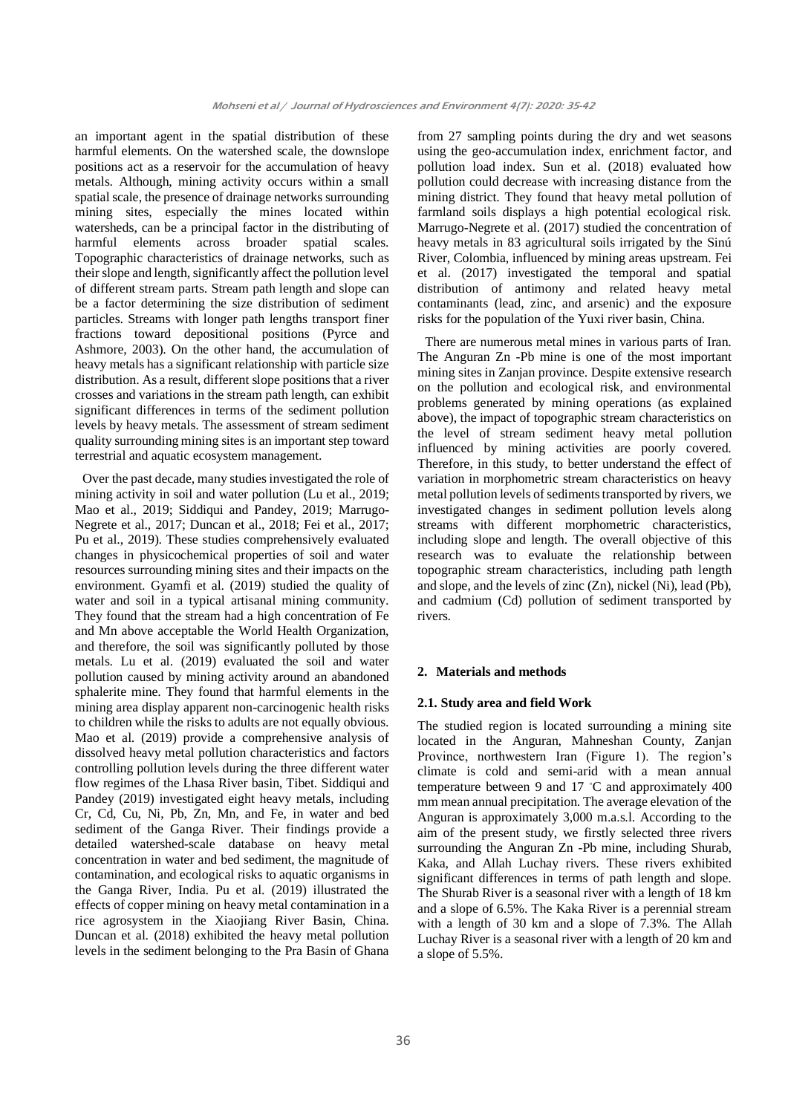an important agent in the spatial distribution of these harmful elements. On the watershed scale, the downslope positions act as a reservoir for the accumulation of heavy metals. Although, mining activity occurs within a small spatial scale, the presence of drainage networks surrounding mining sites, especially the mines located within watersheds, can be a principal factor in the distributing of harmful elements across broader spatial scales. Topographic characteristics of drainage networks, such as their slope and length, significantly affect the pollution level of different stream parts. Stream path length and slope can be a factor determining the size distribution of sediment particles. Streams with longer path lengths transport finer fractions toward depositional positions (Pyrce and Ashmore, 2003). On the other hand, the accumulation of heavy metals has a significant relationship with particle size distribution. As a result, different slope positions that a river crosses and variations in the stream path length, can exhibit significant differences in terms of the sediment pollution levels by heavy metals. The assessment of stream sediment quality surrounding mining sites is an important step toward terrestrial and aquatic ecosystem management.

Over the past decade, many studies investigated the role of mining activity in soil and water pollution (Lu et al., 2019; Mao et al., 2019; Siddiqui and Pandey, 2019; Marrugo-Negrete et al., 2017; Duncan et al., 2018; Fei et al., 2017; Pu et al., 2019). These studies comprehensively evaluated changes in physicochemical properties of soil and water resources surrounding mining sites and their impacts on the environment. Gyamfi et al. (2019) studied the quality of water and soil in a typical artisanal mining community. They found that the stream had a high concentration of Fe and Mn above acceptable the World Health Organization, and therefore, the soil was significantly polluted by those metals. Lu et al. (2019) evaluated the soil and water pollution caused by mining activity around an abandoned sphalerite mine. They found that harmful elements in the mining area display apparent non-carcinogenic health risks to children while the risks to adults are not equally obvious. Mao et al. (2019) provide a comprehensive analysis of dissolved heavy metal pollution characteristics and factors controlling pollution levels during the three different water flow regimes of the Lhasa River basin, Tibet. Siddiqui and Pandey (2019) investigated eight heavy metals, including Cr, Cd, Cu, Ni, Pb, Zn, Mn, and Fe, in water and bed sediment of the Ganga River. Their findings provide a detailed watershed-scale database on heavy metal concentration in water and bed sediment, the magnitude of contamination, and ecological risks to aquatic organisms in the Ganga River, India. Pu et al. (2019) illustrated the effects of copper mining on heavy metal contamination in a rice agrosystem in the Xiaojiang River Basin, China. Duncan et al. (2018) exhibited the heavy metal pollution levels in the sediment belonging to the Pra Basin of Ghana

from 27 sampling points during the dry and wet seasons using the geo-accumulation index, enrichment factor, and pollution load index. Sun et al. (2018) evaluated how pollution could decrease with increasing distance from the mining district. They found that heavy metal pollution of farmland soils displays a high potential ecological risk. Marrugo-Negrete et al. (2017) studied the concentration of heavy metals in 83 agricultural soils irrigated by the Sinú River, Colombia, influenced by mining areas upstream. Fei et al. (2017) investigated the temporal and spatial distribution of antimony and related heavy metal contaminants (lead, zinc, and arsenic) and the exposure risks for the population of the Yuxi river basin, China.

There are numerous metal mines in various parts of Iran. The Anguran Zn -Pb mine is one of the most important mining sites in Zanjan province. Despite extensive research on the pollution and ecological risk, and environmental problems generated by mining operations (as explained above), the impact of topographic stream characteristics on the level of stream sediment heavy metal pollution influenced by mining activities are poorly covered. Therefore, in this study, to better understand the effect of variation in morphometric stream characteristics on heavy metal pollution levels of sediments transported by rivers, we investigated changes in sediment pollution levels along streams with different morphometric characteristics, including slope and length. The overall objective of this research was to evaluate the relationship between topographic stream characteristics, including path length and slope, and the levels of zinc (Zn), nickel (Ni), lead (Pb), and cadmium (Cd) pollution of sediment transported by rivers.

## **2. Materials and methods**

## **2.1. Study area and field Work**

The studied region is located surrounding a mining site located in the Anguran, Mahneshan County, Zanjan Province, northwestern Iran (Figure 1). The region's climate is cold and semi-arid with a mean annual temperature between 9 and 17 °C and approximately 400 mm mean annual precipitation. The average elevation of the Anguran is approximately 3,000 m.a.s.l. According to the aim of the present study, we firstly selected three rivers surrounding the Anguran Zn -Pb mine, including Shurab, Kaka, and Allah Luchay rivers. These rivers exhibited significant differences in terms of path length and slope. The Shurab River is a seasonal river with a length of 18 km and a slope of 6.5%. The Kaka River is a perennial stream with a length of 30 km and a slope of 7.3%. The Allah Luchay River is a seasonal river with a length of 20 km and a slope of 5.5%.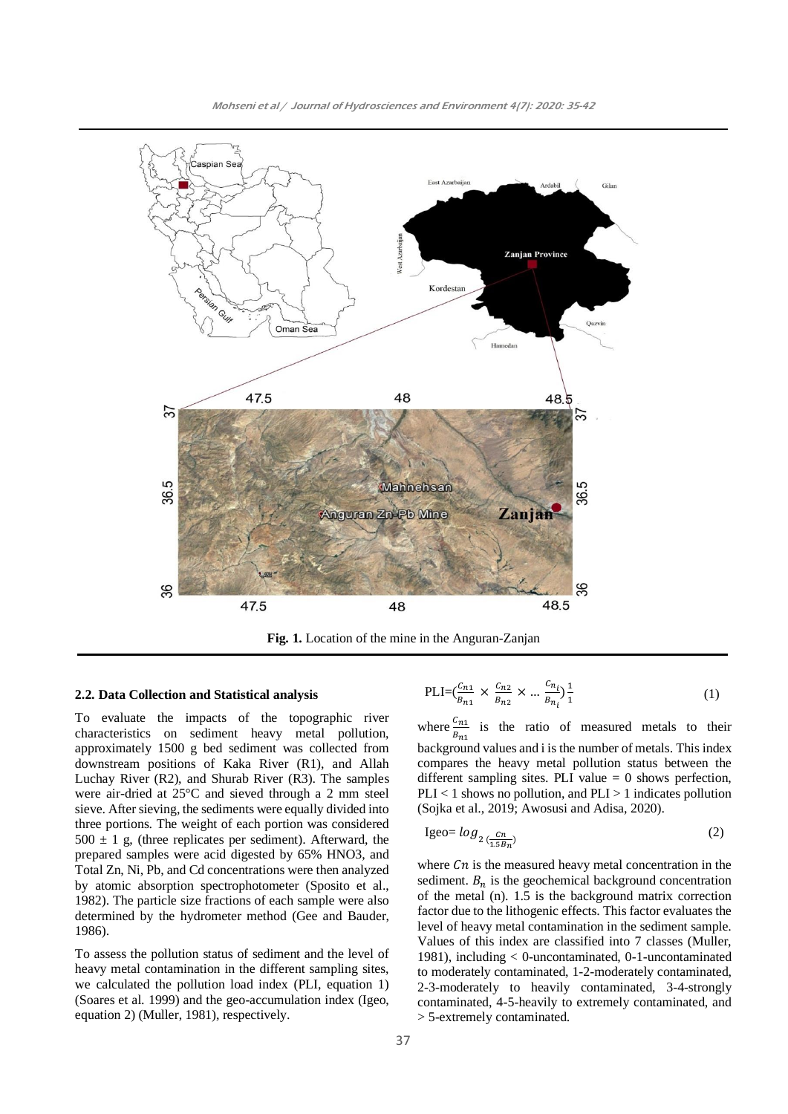

**Fig. 1.** Location of the mine in the Anguran-Zanjan

#### **2.2. Data Collection and Statistical analysis**

To evaluate the impacts of the topographic river characteristics on sediment heavy metal pollution, approximately 1500 g bed sediment was collected from downstream positions of Kaka River (R1), and Allah Luchay River (R2), and Shurab River (R3). The samples were air-dried at 25°C and sieved through a 2 mm steel sieve. After sieving, the sediments were equally divided into three portions. The weight of each portion was considered  $500 \pm 1$  g, (three replicates per sediment). Afterward, the prepared samples were acid digested by 65% HNO3, and Total Zn, Ni, Pb, and Cd concentrations were then analyzed by atomic absorption spectrophotometer (Sposito et al., 1982). The particle size fractions of each sample were also determined by the hydrometer method (Gee and Bauder, 1986).

To assess the pollution status of sediment and the level of heavy metal contamination in the different sampling sites, we calculated the pollution load index (PLI, equation 1) (Soares et al. 1999) and the geo-accumulation index (Igeo, equation 2) (Muller, 1981), respectively.

$$
PLI = \left(\frac{c_{n1}}{B_{n1}} \times \frac{c_{n2}}{B_{n2}} \times \dots \frac{c_{n_i}}{B_{n_i}}\right) \frac{1}{1}
$$
 (1)

where  $\frac{C_{n_1}}{B_{n_1}}$  is the ratio of measured metals to their background values and i is the number of metals. This index compares the heavy metal pollution status between the different sampling sites. PLI value  $= 0$  shows perfection,  $PLI < 1$  shows no pollution, and  $PLI > 1$  indicates pollution (Sojka et al., 2019; Awosusi and Adisa, 2020).

$$
Igeo = log_2 \frac{cn}{(1.5B_n)}
$$
 (2)

where  $Cn$  is the measured heavy metal concentration in the sediment.  $B_n$  is the geochemical background concentration of the metal (n). 1.5 is the background matrix correction factor due to the lithogenic effects. This factor evaluates the level of heavy metal contamination in the sediment sample. Values of this index are classified into 7 classes (Muller, 1981), including < 0-uncontaminated, 0-1-uncontaminated to moderately contaminated, 1-2-moderately contaminated, 2-3-moderately to heavily contaminated, 3-4-strongly contaminated, 4-5-heavily to extremely contaminated, and > 5-extremely contaminated.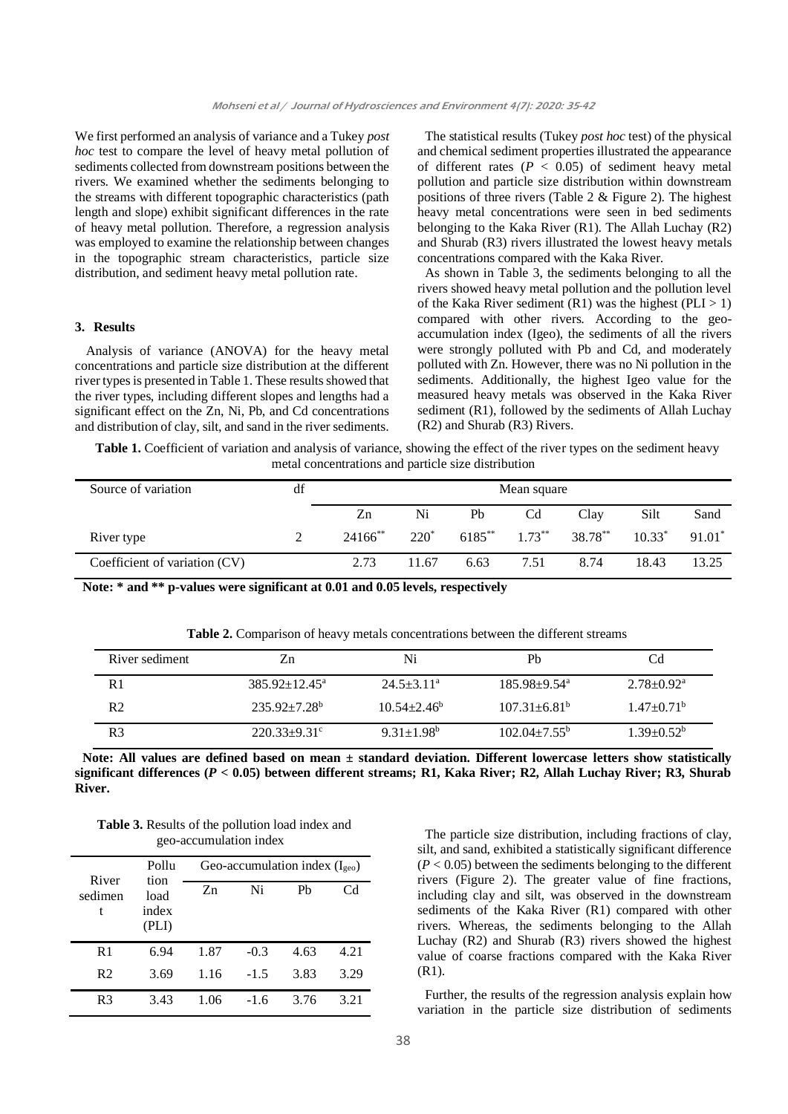We first performed an analysis of variance and a Tukey *post hoc* test to compare the level of heavy metal pollution of sediments collected from downstream positions between the rivers. We examined whether the sediments belonging to the streams with different topographic characteristics (path length and slope) exhibit significant differences in the rate of heavy metal pollution. Therefore, a regression analysis was employed to examine the relationship between changes in the topographic stream characteristics, particle size distribution, and sediment heavy metal pollution rate.

## **3. Results**

Analysis of variance (ANOVA) for the heavy metal concentrations and particle size distribution at the different river types is presented in Table 1. These results showed that the river types, including different slopes and lengths had a significant effect on the Zn, Ni, Pb, and Cd concentrations and distribution of clay, silt, and sand in the river sediments.

The statistical results (Tukey *post hoc* test) of the physical and chemical sediment properties illustrated the appearance of different rates  $(P < 0.05)$  of sediment heavy metal pollution and particle size distribution within downstream positions of three rivers (Table 2 & Figure 2). The highest heavy metal concentrations were seen in bed sediments belonging to the Kaka River (R1). The Allah Luchay (R2) and Shurab (R3) rivers illustrated the lowest heavy metals concentrations compared with the Kaka River.

As shown in Table 3, the sediments belonging to all the rivers showed heavy metal pollution and the pollution level of the Kaka River sediment  $(R1)$  was the highest  $(PLI > 1)$ compared with other rivers. According to the geoaccumulation index (Igeo), the sediments of all the rivers were strongly polluted with Pb and Cd, and moderately polluted with Zn. However, there was no Ni pollution in the sediments. Additionally, the highest Igeo value for the measured heavy metals was observed in the Kaka River sediment (R1), followed by the sediments of Allah Luchay (R2) and Shurab (R3) Rivers.

**Table 1.** Coefficient of variation and analysis of variance, showing the effect of the river types on the sediment heavy metal concentrations and particle size distribution

| Source of variation           | df | Mean square           |         |             |                |         |           |          |
|-------------------------------|----|-----------------------|---------|-------------|----------------|---------|-----------|----------|
|                               |    | Zn                    | Ni      | Pb          | C <sub>d</sub> | Clay    | Silt      | Sand     |
| River type                    |    | $24166$ <sup>**</sup> | $220^*$ | $6185^{**}$ | $1.73***$      | 38.78** | $10.33^*$ | $91.01*$ |
| Coefficient of variation (CV) |    | 2.73                  | 11.67   | 6.63        | 7.51           | 8.74    | 18.43     | 13.25    |

**Note: \* and \*\* p-values were significant at 0.01 and 0.05 levels, respectively**

**Table 2.** Comparison of heavy metals concentrations between the different streams

| River sediment | 7.n                           | Ni                | Ph                           | Cd                         |
|----------------|-------------------------------|-------------------|------------------------------|----------------------------|
| R <sub>1</sub> | $385.92 \pm 12.45^{\text{a}}$ | $24.5 \pm 3.11^a$ | $185.98 + 9.54$ <sup>a</sup> | $2.78 \pm 0.92^{\text{a}}$ |
| R <sub>2</sub> | $235.92+7.28^b$               | $10.54 + 2.46^b$  | $107.31 \pm 6.81^{\circ}$    | $1.47 + 0.71^b$            |
| R <sub>3</sub> | $220.33+9.31^{\circ}$         | $9.31 \pm 1.98^b$ | $102.04 \pm 7.55^{\circ}$    | $1.39 + 0.52^b$            |

**Note: All values are defined based on mean ± standard deviation. Different lowercase letters show statistically significant differences (***P* **< 0.05) between different streams; R1, Kaka River; R2, Allah Luchay River; R3, Shurab River.**

**Table 3.** Results of the pollution load index and geo-accumulation index

| River<br>sedimen<br>t | Pollu                          | Geo-accumulation index $(I_{\text{geo}})$ |        |                |      |  |
|-----------------------|--------------------------------|-------------------------------------------|--------|----------------|------|--|
|                       | tion<br>load<br>index<br>(PLI) | Zn                                        | Ni     | P <sub>b</sub> | Cd   |  |
| R <sub>1</sub>        | 6.94                           | 1.87                                      | $-0.3$ | 4.63           | 4.21 |  |
| R <sub>2</sub>        | 3.69                           | 1.16                                      | $-1.5$ | 3.83           | 3.29 |  |
| R <sub>3</sub>        | 3.43                           | 1.06                                      | $-1.6$ | 3.76           | 3.21 |  |

The particle size distribution, including fractions of clay, silt, and sand, exhibited a statistically significant difference  $(P < 0.05)$  between the sediments belonging to the different rivers (Figure 2). The greater value of fine fractions, including clay and silt, was observed in the downstream sediments of the Kaka River (R1) compared with other rivers. Whereas, the sediments belonging to the Allah Luchay (R2) and Shurab (R3) rivers showed the highest value of coarse fractions compared with the Kaka River (R1).

Further, the results of the regression analysis explain how variation in the particle size distribution of sediments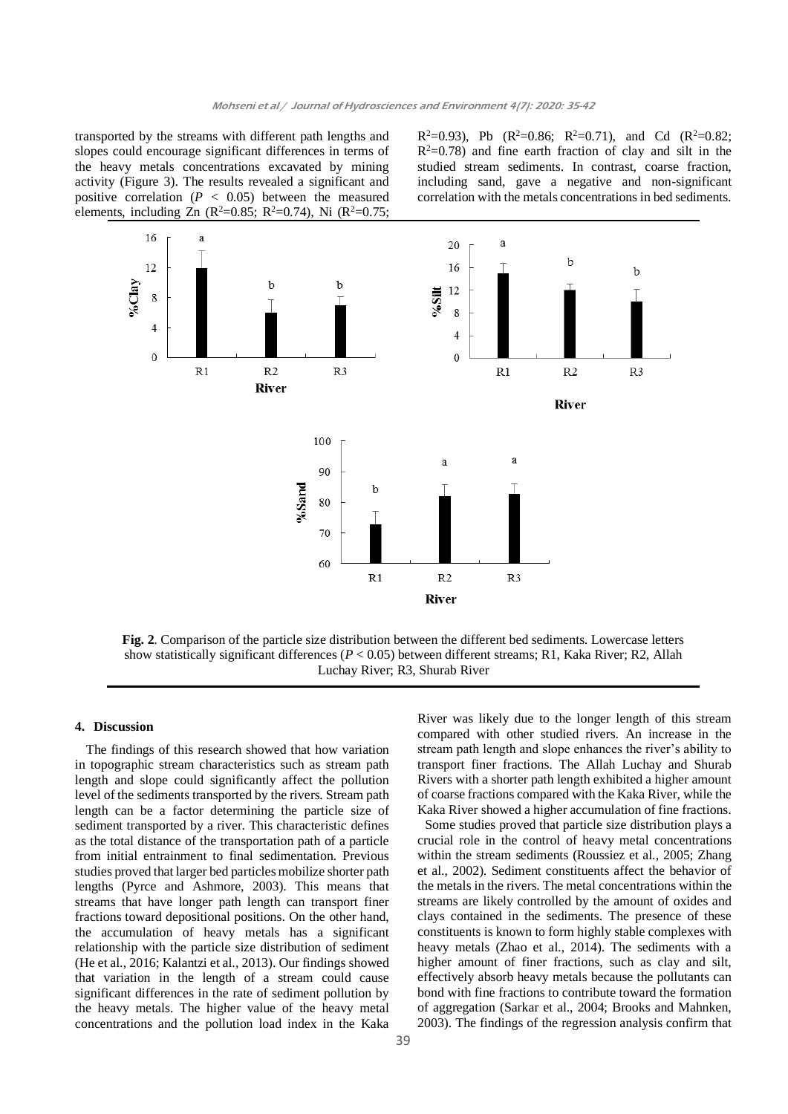transported by the streams with different path lengths and slopes could encourage significant differences in terms of the heavy metals concentrations excavated by mining activity (Figure 3). The results revealed a significant and positive correlation  $(P < 0.05)$  between the measured elements, including Zn ( $R^2$ =0.85;  $R^2$ =0.74), Ni ( $R^2$ =0.75;

 $R^2=0.93$ ), Pb ( $R^2=0.86$ ;  $R^2=0.71$ ), and Cd ( $R^2=0.82$ ;  $R^2=0.78$ ) and fine earth fraction of clay and silt in the studied stream sediments. In contrast, coarse fraction, including sand, gave a negative and non-significant correlation with the metals concentrations in bed sediments.



**Fig. 2**. Comparison of the particle size distribution between the different bed sediments. Lowercase letters show statistically significant differences (*P* < 0.05) between different streams; R1, Kaka River; R2, Allah Luchay River; R3, Shurab River

#### **4. Discussion**

The findings of this research showed that how variation in topographic stream characteristics such as stream path length and slope could significantly affect the pollution level of the sediments transported by the rivers. Stream path length can be a factor determining the particle size of sediment transported by a river. This characteristic defines as the total distance of the transportation path of a particle from initial entrainment to final sedimentation. Previous studies proved that larger bed particles mobilize shorter path lengths (Pyrce and Ashmore, 2003). This means that streams that have longer path length can transport finer fractions toward depositional positions. On the other hand, the accumulation of heavy metals has a significant relationship with the particle size distribution of sediment (He et al., 2016; Kalantzi et al., 2013). Our findings showed that variation in the length of a stream could cause significant differences in the rate of sediment pollution by the heavy metals. The higher value of the heavy metal concentrations and the pollution load index in the Kaka

River was likely due to the longer length of this stream compared with other studied rivers. An increase in the stream path length and slope enhances the river's ability to transport finer fractions. The Allah Luchay and Shurab Rivers with a shorter path length exhibited a higher amount of coarse fractions compared with the Kaka River, while the Kaka River showed a higher accumulation of fine fractions.

Some studies proved that particle size distribution plays a crucial role in the control of heavy metal concentrations within the stream sediments (Roussiez et al., 2005; Zhang et al., 2002). Sediment constituents affect the behavior of the metals in the rivers. The metal concentrations within the streams are likely controlled by the amount of oxides and clays contained in the sediments. The presence of these constituents is known to form highly stable complexes with heavy metals (Zhao et al., 2014). The sediments with a higher amount of finer fractions, such as clay and silt, effectively absorb heavy metals because the pollutants can bond with fine fractions to contribute toward the formation of aggregation (Sarkar et al., 2004; Brooks and Mahnken, 2003). The findings of the regression analysis confirm that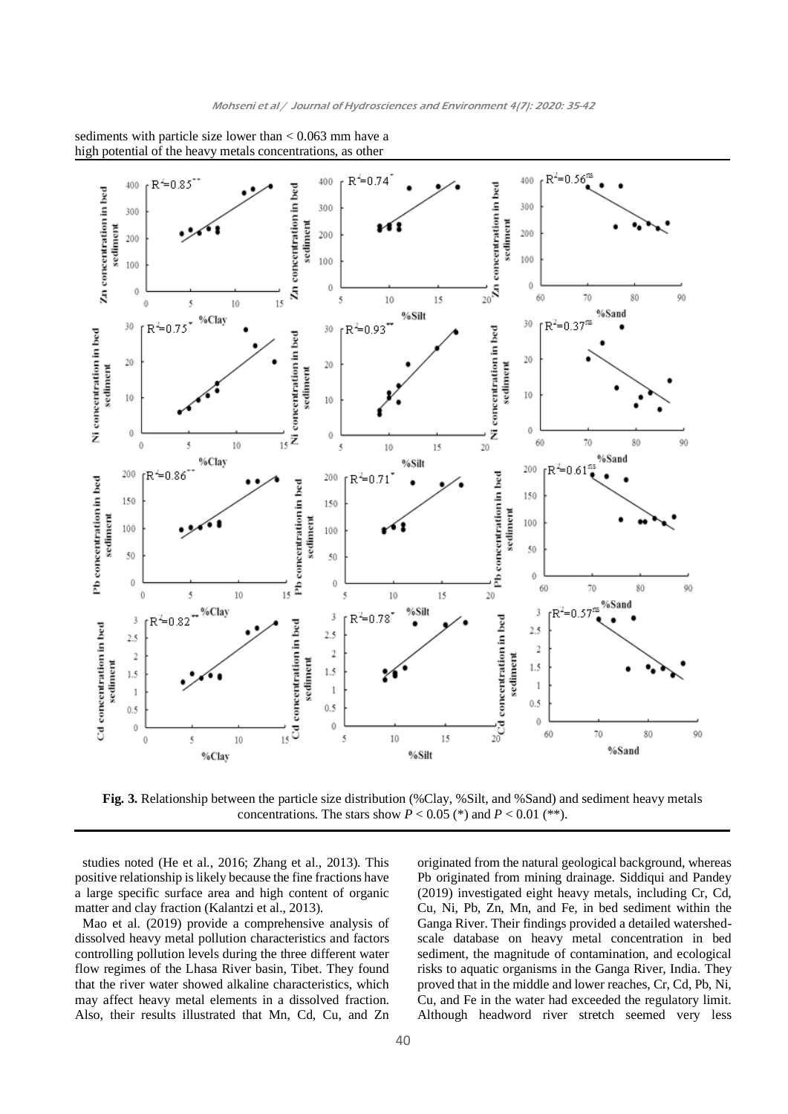

sediments with particle size lower than < 0.063 mm have a high potential of the heavy metals concentrations, as other

**Fig. 3.** Relationship between the particle size distribution (%Clay, %Silt, and %Sand) and sediment heavy metals concentrations. The stars show  $P < 0.05$  (\*) and  $P < 0.01$  (\*\*).

studies noted (He et al., 2016; Zhang et al., 2013). This positive relationship is likely because the fine fractions have a large specific surface area and high content of organic matter and clay fraction (Kalantzi et al., 2013).

Mao et al. (2019) provide a comprehensive analysis of dissolved heavy metal pollution characteristics and factors controlling pollution levels during the three different water flow regimes of the Lhasa River basin, Tibet. They found that the river water showed alkaline characteristics, which may affect heavy metal elements in a dissolved fraction. Also, their results illustrated that Mn, Cd, Cu, and Zn

originated from the natural geological background, whereas Pb originated from mining drainage. Siddiqui and Pandey (2019) investigated eight heavy metals, including Cr, Cd, Cu, Ni, Pb, Zn, Mn, and Fe, in bed sediment within the Ganga River. Their findings provided a detailed watershedscale database on heavy metal concentration in bed sediment, the magnitude of contamination, and ecological risks to aquatic organisms in the Ganga River, India. They proved that in the middle and lower reaches, Cr, Cd, Pb, Ni, Cu, and Fe in the water had exceeded the regulatory limit. Although headword river stretch seemed very less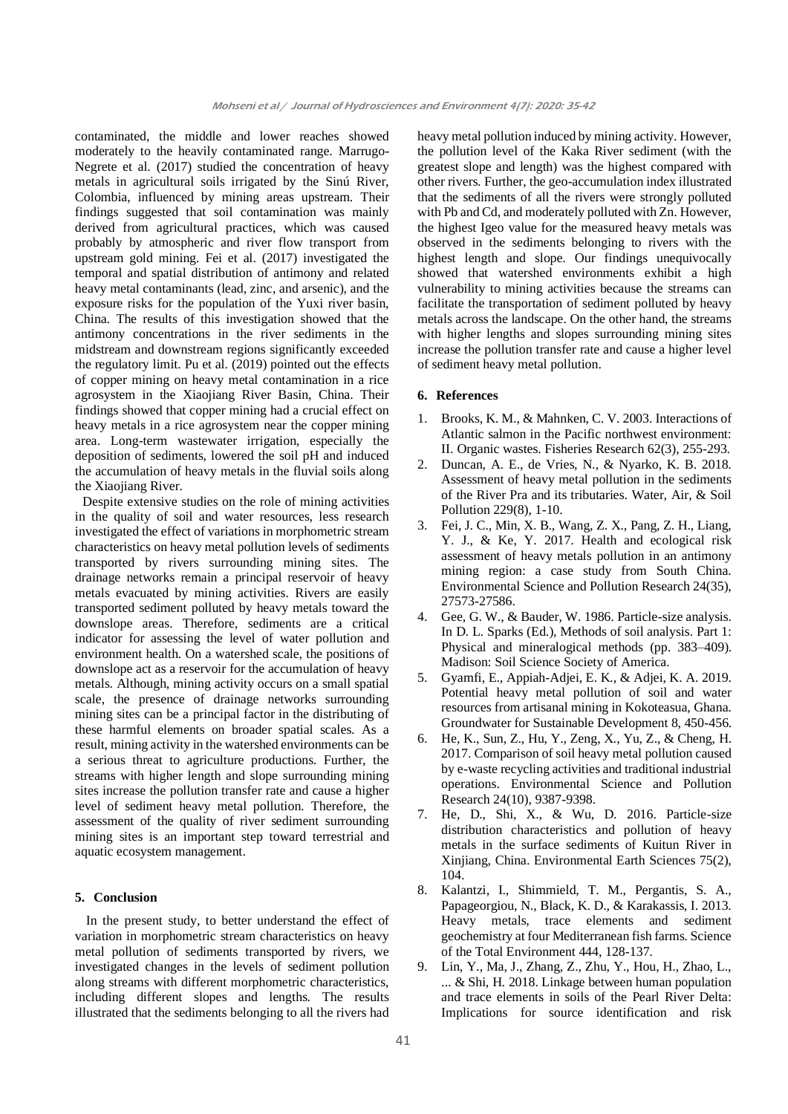contaminated, the middle and lower reaches showed moderately to the heavily contaminated range. Marrugo-Negrete et al. (2017) studied the concentration of heavy metals in agricultural soils irrigated by the Sinú River, Colombia, influenced by mining areas upstream. Their findings suggested that soil contamination was mainly derived from agricultural practices, which was caused probably by atmospheric and river flow transport from upstream gold mining. Fei et al. (2017) investigated the temporal and spatial distribution of antimony and related heavy metal contaminants (lead, zinc, and arsenic), and the exposure risks for the population of the Yuxi river basin, China. The results of this investigation showed that the antimony concentrations in the river sediments in the midstream and downstream regions significantly exceeded the regulatory limit. Pu et al. (2019) pointed out the effects of copper mining on heavy metal contamination in a rice agrosystem in the Xiaojiang River Basin, China. Their findings showed that copper mining had a crucial effect on heavy metals in a rice agrosystem near the copper mining area. Long-term wastewater irrigation, especially the deposition of sediments, lowered the soil pH and induced the accumulation of heavy metals in the fluvial soils along the Xiaojiang River.

Despite extensive studies on the role of mining activities in the quality of soil and water resources, less research investigated the effect of variations in morphometric stream characteristics on heavy metal pollution levels of sediments transported by rivers surrounding mining sites. The drainage networks remain a principal reservoir of heavy metals evacuated by mining activities. Rivers are easily transported sediment polluted by heavy metals toward the downslope areas. Therefore, sediments are a critical indicator for assessing the level of water pollution and environment health. On a watershed scale, the positions of downslope act as a reservoir for the accumulation of heavy metals. Although, mining activity occurs on a small spatial scale, the presence of drainage networks surrounding mining sites can be a principal factor in the distributing of these harmful elements on broader spatial scales. As a result, mining activity in the watershed environments can be a serious threat to agriculture productions. Further, the streams with higher length and slope surrounding mining sites increase the pollution transfer rate and cause a higher level of sediment heavy metal pollution. Therefore, the assessment of the quality of river sediment surrounding mining sites is an important step toward terrestrial and aquatic ecosystem management.

## **5. Conclusion**

In the present study, to better understand the effect of variation in morphometric stream characteristics on heavy metal pollution of sediments transported by rivers, we investigated changes in the levels of sediment pollution along streams with different morphometric characteristics, including different slopes and lengths. The results illustrated that the sediments belonging to all the rivers had

heavy metal pollution induced by mining activity. However, the pollution level of the Kaka River sediment (with the greatest slope and length) was the highest compared with other rivers. Further, the geo-accumulation index illustrated that the sediments of all the rivers were strongly polluted with Pb and Cd, and moderately polluted with Zn. However, the highest Igeo value for the measured heavy metals was observed in the sediments belonging to rivers with the highest length and slope. Our findings unequivocally showed that watershed environments exhibit a high vulnerability to mining activities because the streams can facilitate the transportation of sediment polluted by heavy metals across the landscape. On the other hand, the streams with higher lengths and slopes surrounding mining sites increase the pollution transfer rate and cause a higher level of sediment heavy metal pollution.

### **6. References**

- Brooks, K. M., & Mahnken, C. V. 2003. Interactions of Atlantic salmon in the Pacific northwest environment: II. Organic wastes. Fisheries Research 62(3), 255-293.
- 2. Duncan, A. E., de Vries, N., & Nyarko, K. B. 2018. Assessment of heavy metal pollution in the sediments of the River Pra and its tributaries. Water, Air, & Soil Pollution 229(8), 1-10.
- 3. Fei, J. C., Min, X. B., Wang, Z. X., Pang, Z. H., Liang, Y. J., & Ke, Y. 2017. Health and ecological risk assessment of heavy metals pollution in an antimony mining region: a case study from South China. Environmental Science and Pollution Research 24(35), 27573-27586.
- 4. Gee, G. W., & Bauder, W. 1986. Particle-size analysis. In D. L. Sparks (Ed.), Methods of soil analysis. Part 1: Physical and mineralogical methods (pp. 383–409). Madison: Soil Science Society of America.
- 5. Gyamfi, E., Appiah-Adjei, E. K., & Adjei, K. A. 2019. Potential heavy metal pollution of soil and water resources from artisanal mining in Kokoteasua, Ghana. Groundwater for Sustainable Development 8, 450-456.
- 6. He, K., Sun, Z., Hu, Y., Zeng, X., Yu, Z., & Cheng, H. 2017. Comparison of soil heavy metal pollution caused by e-waste recycling activities and traditional industrial operations. Environmental Science and Pollution Research 24(10), 9387-9398.
- 7. He, D., Shi, X., & Wu, D. 2016. Particle-size distribution characteristics and pollution of heavy metals in the surface sediments of Kuitun River in Xinjiang, China. Environmental Earth Sciences 75(2), 104.
- 8. Kalantzi, I., Shimmield, T. M., Pergantis, S. A., Papageorgiou, N., Black, K. D., & Karakassis, I. 2013. Heavy metals, trace elements and sediment geochemistry at four Mediterranean fish farms. Science of the Total Environment 444, 128-137.
- 9. Lin, Y., Ma, J., Zhang, Z., Zhu, Y., Hou, H., Zhao, L., ... & Shi, H. 2018. Linkage between human population and trace elements in soils of the Pearl River Delta: Implications for source identification and risk